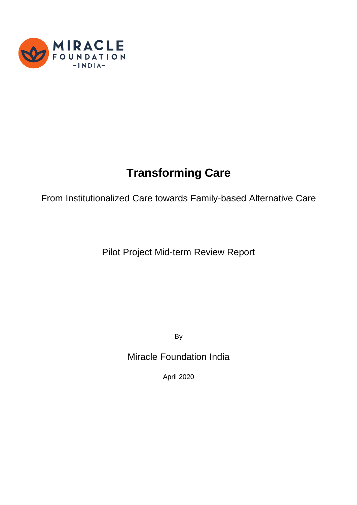

# **Transforming Care**

From Institutionalized Care towards Family-based Alternative Care

Pilot Project Mid-term Review Report

By

Miracle Foundation India

April 2020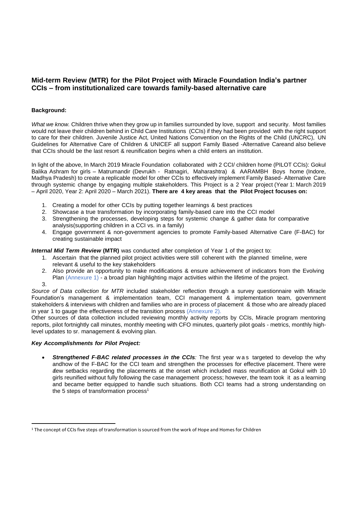# **Mid-term Review (MTR) for the Pilot Project with Miracle Foundation India's partner CCIs – from institutionalized care towards family-based alternative care**

## **Background:**

*What we know.* Children thrive when they grow up in families surrounded by love, support and security. Most families would not leave their children behind in Child Care Institutions (CCIs) if they had been provided with the right support to care for their children. Juvenile Justice Act, United Nations Convention on the Rights of the Child (UNCRC), UN Guidelines for Alternative Care of Children & UNICEF all support Family Based -Alternative Careand also believe that CCIs should be the last resort & reunification begins when a child enters an institution.

In light of the above, In March 2019 Miracle Foundation collaborated with 2 CCI/ children home (PILOT CCIs): Gokul Balika Ashram for girls – Matrumandir (Devrukh - Ratnagiri, Maharashtra) & AARAMBH Boys home (Indore, Madhya Pradesh) to create a replicable model for other CCIs to effectively implement Family Based- Alternative Care through systemic change by engaging multiple stakeholders. This Project is a 2 Year project (Year 1: March 2019 – April 2020, Year 2: April 2020 – March 2021). **There are 4 key areas that the Pilot Project focuses on:**

- 1. Creating a model for other CCIs by putting together learnings & best practices
- 2. Showcase a true transformation by incorporating family-based care into the CCI model
- 3. Strengthening the processes, developing steps for systemic change & gather data for comparative analysis(supporting children in a CCI vs. in a family)
- 4. Engage government & non-government agencies to promote Family-based Alternative Care (F-BAC) for creating sustainable impact

*Internal Mid Term Review* **(MTR)** was conducted after completion of Year 1 of the project to:

- 1. Ascertain that the planned pilot project activities were still coherent with the planned timeline, were relevant & useful to the key stakeholders
- 2. Also provide an opportunity to make modifications & ensure achievement of indicators from the Evolving Plan (Annexure 1) - a broad plan highlighting major activities within the lifetime of the project.
- 3.

*Source of Data collection for MTR* included stakeholder reflection through a survey questionnaire with Miracle Foundation's management & implementation team, CCI management & implementation team, government stakeholders & interviews with children and families who are in process of placement & those who are already placed in year 1 to gauge the effectiveness of the transition process (Annexure 2).

Other sources of data collection included reviewing monthly activity reports by CCIs, Miracle program mentoring reports, pilot fortnightly call minutes, monthly meeting with CFO minutes, quarterly pilot goals - metrics, monthly highlevel updates to sr. management & evolving plan.

## *Key Accomplishments for Pilot Project:*

• *Strengthened F-BAC related processes in the CCIs:* The first year w a s targeted to develop the why andhow of the F-BAC for the CCI team and strengthen the processes for effective placement. There were a few setbacks regarding the placements at the onset which included mass reunification at Gokul with 10 girls reunified without fully following the case management process; however, the team took it as a learning and became better equipped to handle such situations. Both CCI teams had a strong understanding on the 5 steps of transformation process<sup>1</sup>

<sup>&</sup>lt;sup>1</sup> The concept of CCIs five steps of transformation is sourced from the work of Hope and Homes for Children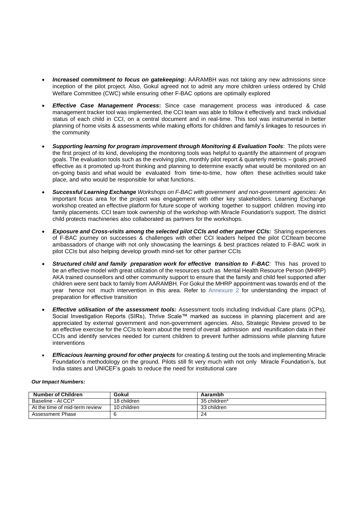- *Increased commitment to focus on gatekeeping***:** AARAMBH was not taking any new admissions since inception of the pilot project. Also, Gokul agreed not to admit any more children unless ordered by Child Welfare Committee (CWC) while ensuring other F-BAC options are optimally explored
- *Effective Case Management Process***:** Since case management process was introduced & case management tracker tool was implemented, the CCI team was able to follow it effectively and track individual status of each child in CCI, on a central document and in real-time. This tool was instrumental in better planning of home visits & assessments while making efforts for children and family's linkages to resources in the community
- *Supporting learning for program improvement through Monitoring & Evaluation Tools*: The pilots were the first project of its kind, developing the monitoring tools was helpful to quantify the attainment of program goals. The evaluation tools such as the evolving plan, monthly pilot report & quarterly metrics – goals proved effective as it promoted up-front thinking and planning to determine exactly what would be monitored on an on-going basis and what would be evaluated from time-to-time, how often these activities would take place, and who would be responsible for what functions.
- *Successful Learning Exchange Workshops on F-BAC with government and non-government agencies:* An important focus area for the project was engagement with other key stakeholders. Learning Exchange workshop created an effective platform for future scope of working together to support children moving into family placements. CCI team took ownership of the workshop with Miracle Foundation's support. The district child protects machineries also collaborated as partners for the workshops.
- *Exposure and Cross-visits among the selected pilot CCIs and other partner CCIs:* Sharing experiences of F-BAC journey on successes & challenges with other CCI leaders helped the pilot CCIteam become ambassadors of change with not only showcasing the learnings & best practices related to F-BAC work in pilot CCIs but also helping develop growth mind-set for other partner CCIs
- *Structured child and family preparation work for effective transition to F-BAC:* This has proved to be an effective model with great utilization of the resources such as Mental Health Resource Person (MHRP) AKA trained counsellors and other community support to ensure that the family and child feel supported after children were sent back to family from AARAMBH. For Gokul the MHRP appointment was towards end of the year hence not much intervention in this area. Refer to Annexure 2 for understanding the impact of preparation for effective transition
- *Effective utilisation of the assessment tools:* Assessment tools including Individual Care plans (ICPs), Social Investigation Reports (SIRs), Thrive Scale™ marked as success in planning placement and are appreciated by external government and non-government agencies. Also, Strategic Review proved to be an effective exercise for the CCIs to learn about the trend of overall admission and reunification data in their CCIs and identify services needed for current children to prevent further admissions while planning future interventions
- *Efficacious learning ground for other projects* for creating & testing out the tools and implementing Miracle Foundation's methodology on the ground. Pilots still fit very much with not only Miracle Foundation's, but India states and UNICEF's goals to reduce the need for institutional care

| <b>Number of Children</b>      | Gokul       | Aarambh      |
|--------------------------------|-------------|--------------|
| Baseline - At CCI*             | 18 children | 35 children* |
| At the time of mid-term review | 10 children | 33 children  |
| Assessment Phase               |             | 24           |

## *Our Impact Numbers:*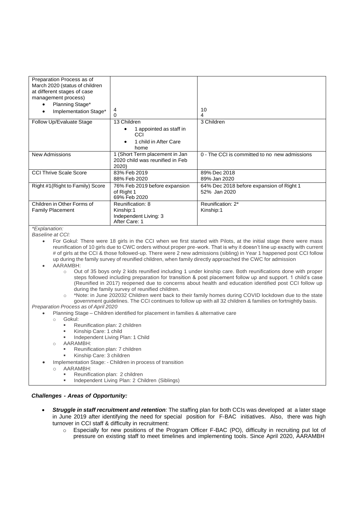| Preparation Process as of<br>March 2020 (status of children<br>at different stages of case<br>management process)<br>Planning Stage*<br>٠<br>Implementation Stage*<br>$\bullet$ | 4<br>0                                                                         | 10<br>4                                                  |
|---------------------------------------------------------------------------------------------------------------------------------------------------------------------------------|--------------------------------------------------------------------------------|----------------------------------------------------------|
| Follow Up/Evaluate Stage                                                                                                                                                        | 13 Children<br>1 appointed as staff in<br>CCI<br>1 child in After Care<br>home | 3 Children                                               |
| <b>New Admissions</b>                                                                                                                                                           | 1 (Short Term placement in Jan<br>2020 child was reunified in Feb<br>2020)     | 0 - The CCI is committed to no new admissions            |
| <b>CCI Thrive Scale Score</b>                                                                                                                                                   | 83% Feb 2019<br>88% Feb 2020                                                   | 89% Dec 2018<br>89% Jan 2020                             |
| Right #1 (Right to Family) Score                                                                                                                                                | 76% Feb 2019 before expansion<br>of Right 1<br>69% Feb 2020                    | 64% Dec 2018 before expansion of Right 1<br>52% Jan 2020 |
| Children in Other Forms of<br><b>Family Placement</b>                                                                                                                           | Reunification: 8<br>Kinship:1<br>Independent Living: 3<br>After Care: 1        | Reunification: 2*<br>Kinship:1                           |

*\*Explanation:*

*Baseline at CCI:*

- For Gokul: There were 18 girls in the CCI when we first started with Pilots, at the initial stage there were mass reunification of 10 girls due to CWC orders without proper pre-work. That is why it doesn't line up exactly with current # of girls at the CCI & those followed-up. There were 2 new admissions (sibling) in Year 1 happened post CCI follow up during the family survey of reunified children, when family directly approached the CWC for admission
- AARAMBH:
	- o Out of 35 boys only 2 kids reunified including 1 under kinship care. Both reunifications done with proper steps followed including preparation for transition & post placement follow up and support. 1 child's case (Reunified in 2017) reopened due to concerns about health and education identified post CCI follow up during the family survey of reunified children.
	- o \*Note: in June 202032 Children went back to their family homes during COVID lockdown due to the state government guidelines. The CCI continues to follow up with all 32 children & families on fortnightly basis.

*Preparation Process as of April 2020*

• Planning Stage – Children identified for placement in families & alternative care

- o Gokul:
	- Reunification plan: 2 children
	- Kinship Care: 1 child
	- Independent Living Plan: 1 Child
	- o AARAMBH:
		- Reunification plan: 7 children
		- Kinship Care: 3 children
- Implementation Stage: Children in process of transition
	- o AARAMBH:
		- Reunification plan: 2 children
		- Independent Living Plan: 2 Children (Siblings)

## *Challenges - Areas of Opportunity:*

- *Struggle in staff recruitment and retention:* The staffing plan for both CCIs was developed at a later stage in June 2019 after identifying the need for special position for F-BAC initiatives. Also, there was high turnover in CCI staff & difficulty in recruitment:
	- o Especially for new positions of the Program Officer F-BAC (PO), difficulty in recruiting put lot of pressure on existing staff to meet timelines and implementing tools. Since April 2020, AARAMBH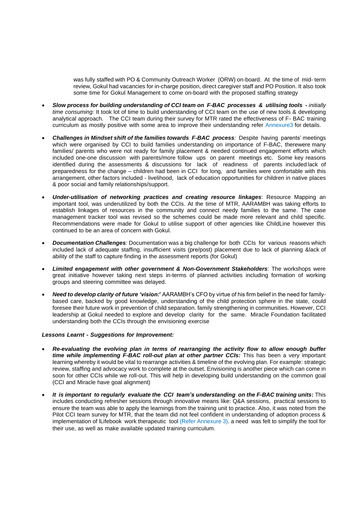was fully staffed with PO & Community Outreach Worker (ORW) on-board. At the time of mid- term review, Gokul had vacancies for in-charge position, direct caregiver staff and PO Position. It also took some time for Gokul Management to come on-board with the proposed staffing strategy

- *Slow process for building understanding of CCI team on F-BAC processes & utilising tools - initially time consuming:* It took lot of time to build understanding of CCI team on the use of new tools & developing analytical approach. The CCI team during their survey for MTR rated the effectiveness of F- BAC training curriculum as mostly positive with some area to improve their understanding refer Annexure3 for details.
- *Challenges in Mindset shift of the families towards F-BAC process:* Despite having parents' meetings which were organised by CCI to build families understanding on importance of F-BAC, therewere many families/ parents who were not ready for family placement & needed continued engagement efforts which included one-one discussion with parents/more follow ups on parent meetings etc. Some key reasons identified during the assessments & discussions for lack of readiness of parents included lack of preparedness for the change – children had been in CCI for long, and families were comfortable with this arrangement, other factors included - livelihood, lack of education opportunities for children in native places & poor social and family relationships/support.
- *Under-utilisation of networking practices and creating resource linkages*: Resource Mapping an important tool, was underutilized by both the CCIs. At the time of MTR, AARAMBH was taking efforts to establish linkages of resources in the community and connect needy families to the same. The case management tracker tool was revised so the schemes could be made more relevant and child specific. Recommendations were made for Gokul to utilise support of other agencies like ChildLine however this continued to be an area of concern with Gokul.
- *Documentation Challenges:* Documentation was a big challenge for both CCIs for various reasons which included lack of adequate staffing, insufficient visits (pre/post) placement due to lack of planning &lack of ability of the staff to capture finding in the assessment reports (for Gokul)
- *Limited engagement with other government & Non-Government Stakeholders*: The workshops were great initiative however taking next steps in-terms of planned activities including formation of working groups and steering committee was delayed.
- *Need to develop clarity of future 'vision:***'** AARAMBH's CFO by virtue of his firm belief in the need for familybased care, backed by good knowledge, understanding of the child protection sphere in the state, could foresee their future work in prevention of child separation. family strengthening in communities. However, CCI leadership at Gokul needed to explore and develop clarity for the same. Miracle Foundation facilitated understanding both the CCIs through the envisioning exercise

## *Lessons Learnt - Suggestions for Improvement:*

- *Re-evaluating the evolving plan in terms of rearranging the activity flow to allow enough buffer time while implementing F-BAC roll-out plan at other partner CCIs:* This has been a very important learning whereby it would be vital to rearrange activities & timeline of the evolving plan. For example: strategic review, staffing and advocacy work to complete at the outset. Envisioning is another piece which can come in soon for other CCIs while we roll-out. This will help in developing build understanding on the common goal (CCI and Miracle have goal alignment)
- *It is important to regularly evaluate the CCI team's understanding on the F-BAC training units***:** This includes conducting refresher sessions through innovative means like: Q&A sessions, practical sessions to ensure the team was able to apply the learnings from the training unit to practice. Also, it was noted from the Pilot CCI team survey for MTR, that the team did not feel confident in understanding of adoption process & implementation of lLifebook work therapeutic tool (Refer Annexure 3). a need was felt to simplify the tool for their use, as well as make available updated training curriculum.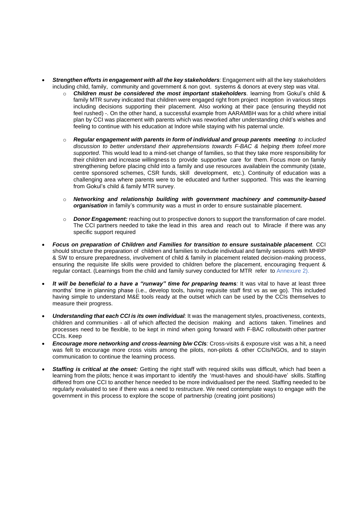- *Strengthen efforts in engagement with all the key stakeholders:* Engagement with all the key stakeholders including child, family, community and government & non govt. systems & donors at every step was vital.
	- o *Children must be considered the most important stakeholders.* learning from Gokul's child & family MTR survey indicated that children were engaged right from project inception in various steps including decisions supporting their placement. Also working at their pace (ensuring theydid not feel rushed) -. On the other hand, a successful example from AARAMBH was for a child where initial plan by CCI was placement with parents which was reworked after understanding child's wishes and feeling to continue with his education at Indore while staying with his paternal uncle.
	- o *Regular engagement with parents in form of individual and group parents meeting to included discussion to better understand their apprehensions towards F-BAC & helping them tofeel more supported*. This would lead to a mind-set change of families, so that they take more responsibility for their children and increase willingness to provide supportive care for them. Focus more on family strengthening before placing child into a family and use resources availablein the community (state, centre sponsored schemes, CSR funds, skill development, etc.). Continuity of education was a challenging area where parents were to be educated and further supported. This was the learning from Gokul's child & family MTR survey.
	- o *Networking and relationship building with government machinery and community-based organisation* in family's community was a must in order to ensure sustainable placement.
	- o *Donor Engagement:* reaching out to prospective donors to support the transformation of care model. The CCI partners needed to take the lead in this area and reach out to Miracle if there was any specific support required
- *Focus on preparation of Children and Families for transition to ensure sustainable placement.* CCI should structure the preparation of children and families to include individual and family sessions with MHRP & SW to ensure preparedness, involvement of child & family in placement related decision-making process, ensuring the requisite life skills were provided to children before the placement, encouraging frequent & regular contact. (Learnings from the child and family survey conducted for MTR refer to Annexure 2).
- *It will be beneficial to a have a "runway" time for preparing teams:* It was vital to have at least three months' time in planning phase (i.e., develop tools, having requisite staff first vs as we go). This included having simple to understand M&E tools ready at the outset which can be used by the CCIs themselves to measure their progress.
- *Understanding that each CCI is its own individual:* It was the management styles, proactiveness, contexts, children and communities - all of which affected the decision making and actions taken. Timelines and processes need to be flexible, to be kept in mind when going forward with F-BAC rolloutwith other partner CCIs. Keep
- *Encourage more networking and cross-learning b/w CCIs:* Cross-visits & exposure visit was a hit, a need was felt to encourage more cross visits among the pilots, non-pilots & other CCIs/NGOs, and to stayin communication to continue the learning process.
- *Staffing is critical at the onset:* Getting the right staff with required skills was difficult, which had been a learning from the pilots; hence it was important to identify the 'must-haves and should-have' skills. Staffing differed from one CCI to another hence needed to be more individualised per the need. Staffing needed to be regularly evaluated to see if there was a need to restructure. We need contemplate ways to engage with the government in this process to explore the scope of partnership (creating joint positions)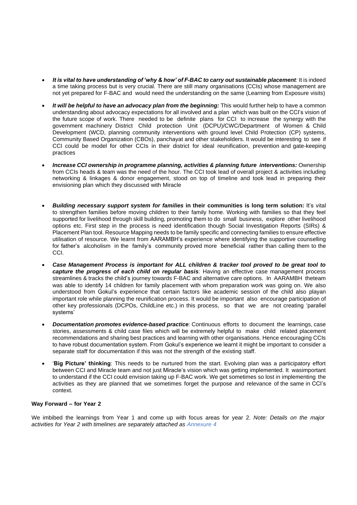- *It is vital to have understanding of 'why & how' of F-BAC to carry out sustainable placement:* It is indeed a time taking process but is very crucial. There are still many organisations (CCIs) whose management are not yet prepared for F-BAC and would need the understanding on the same (Learning from Exposure visits)
- *It will be helpful to have an advocacy plan from the beginning:* This would further help to have a common understanding about advocacy expectations for all involved and a plan which was built on the CCI's vision of the future scope of work. There needed to be definite plans for CCI to increase the synergy with the government machinery District Child protection Unit (DCPU)/CWC/Department of Women & Child Development (WCD, planning community interventions with ground level Child Protection (CP) systems, Community Based Organization (CBOs), panchayat and other stakeholders. It would be interesting to see if CCI could be model for other CCIs in their district for ideal reunification, prevention and gate-keeping practices
- *Increase CCI ownership in programme planning, activities & planning future interventions:* Ownership from CCIs heads & team was the need of the hour. The CCI took lead of overall project & activities including networking & linkages & donor engagement, stood on top of timeline and took lead in preparing their envisioning plan which they discussed with Miracle
- *Building necessary support system for families* **in their communities is long term solution:** It's vital to strengthen families before moving children to their family home. Working with families so that they feel supported for livelihood through skill building, promoting them to do small business, explore other livelihood options etc. First step in the process is need identification though Social Investigation Reports (SIRs) & Placement Plan tool. Resource Mapping needs to be family specific and connecting families to ensure effective utilisation of resource. We learnt from AARAMBH's experience where identifying the supportive counselling for father's alcoholism in the family's community proved more beneficial rather than calling them to the CCI.
- *Case Management Process is important for ALL children & tracker tool proved to be great tool to capture the progress of each child on regular basis:* Having an effective case management process streamlines & tracks the child's journey towards F-BAC and alternative care options. In AARAMBH theteam was able to identify 14 children for family placement with whom preparation work was going on. We also understood from Gokul's experience that certain factors like academic session of the child also playan important role while planning the reunification process. It would be important also encourage participation of other key professionals (DCPOs, ChildLine etc.) in this process, so that we are not creating 'parallel systems'
- *Documentation promotes evidence-based practice:* Continuous efforts to document the learnings, case stories, assessments & child case files which will be extremely helpful to make child related placement recommendations and sharing best practices and learning with other organisations. Hence encouraging CCIs to have robust documentation system. From Gokul's experience we learnt it might be important to consider a separate staff for documentation if this was not the strength of the existing staff.
- '**Big Picture' thinking**: This needs to be nurtured from the start. Evolving plan was a participatory effort between CCI and Miracle team and not just Miracle's vision which was getting implemented. It wasimportant to understand if the CCI could envision taking up F-BAC work. We get sometimes so lost in implementing the activities as they are planned that we sometimes forget the purpose and relevance of the same in CCI's context.

## **Way Forward – for Year 2**

We imbibed the learnings from Year 1 and come up with focus areas for year 2. *Note: Details on the major activities for Year 2 with timelines are separately attached as Annexure 4*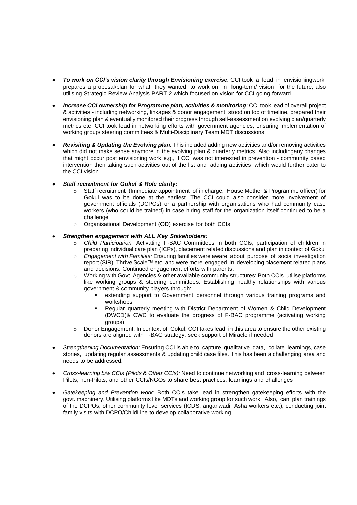- *To work on CCI's vision clarity through Envisioning exercise:* CCI took a lead in envisioningwork, prepares a proposal/plan for what they wanted to work on in long-term/ vision for the future, also utilising Strategic Review Analysis PART 2 which focused on vision for CCI going forward
- *Increase CCI ownership for Programme plan, activities & monitoring:* CCI took lead of overall project & activities - including networking, linkages & donor engagement; stood on top of timeline, prepared their envisioning plan & eventually monitored their progress through self-assessment on evolving plan/quarterly metrics etc. CCI took lead in networking efforts with government agencies, ensuring implementation of working group/ steering committees & Multi-Disciplinary Team MDT discussions.
- *Revisiting & Updating the Evolving plan:* This included adding new activities and/or removing activities which did not make sense anymore in the evolving plan & quarterly metrics. Also includingany changes that might occur post envisioning work e.g., if CCI was not interested in prevention - community based intervention then taking such activities out of the list and adding activities which would further cater to the CCI vision.
- *Staff recruitment for Gokul & Role clarity:*
	- o Staff recruitment (Immediate appointment of in charge, House Mother & Programme officer) for Gokul was to be done at the earliest. The CCI could also consider more involvement of government officials (DCPOs) or a partnership with organisations who had community case workers (who could be trained) in case hiring staff for the organization itself continued to be a challenge
	- o Organisational Development (OD) exercise for both CCIs

# • *Strengthen engagement with ALL Key Stakeholders:*

- o *Child Participation:* Activating F-BAC Committees in both CCIs, participation of children in preparing individual care plan (ICPs), placement related discussions and plan in context of Gokul
- o *Engagement with Families:* Ensuring families were aware about purpose of social investigation report (SIR), Thrive Scale™ etc. and were more engaged in developing placement related plans and decisions. Continued engagement efforts with parents.
- o Working with Govt. Agencies & other available community structures: Both CCIs utilise platforms like working groups & steering committees. Establishing healthy relationships with various government & community players through:
	- extending support to Government personnel through various training programs and workshops
	- Regular quarterly meeting with District Department of Women & Child Development (DWCD)& CWC to evaluate the progress of F-BAC programme (activating working groups)
- o Donor Engagement: In context of Gokul, CCI takes lead in this area to ensure the other existing donors are aligned with F-BAC strategy, seek support of Miracle if needed
- *Strengthening Documentation:* Ensuring CCI is able to capture qualitative data, collate learnings, case stories, updating regular assessments & updating child case files. This has been a challenging area and needs to be addressed.
- *Cross-learning b/w CCIs (Pilots & Other CCIs):* Need to continue networking and cross-learning between Pilots, non-Pilots, and other CCIs/NGOs to share best practices, learnings and challenges
- *Gatekeeping and Prevention work:* Both CCIs take lead in strengthen gatekeeping efforts with the govt. machinery. Utilising platforms like MDTs and working group for such work. Also, can plan trainings of the DCPOs, other community level services (ICDS: anganwadi, Asha workers etc.), conducting joint family visits with DCPO/ChildLine to develop collaborative working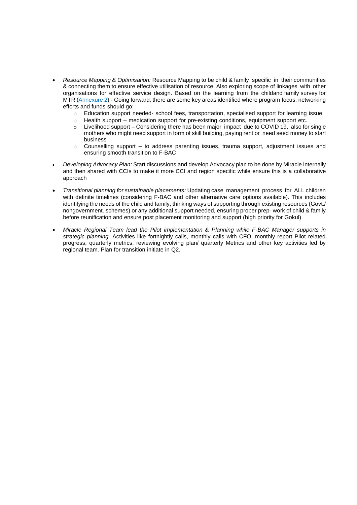- *Resource Mapping & Optimisation:* Resource Mapping to be child & family specific in their communities & connecting them to ensure effective utilisation of resource. Also exploring scope of linkages with other organisations for effective service design. Based on the learning from the childand family survey for MTR (Annexure 2) - Going forward, there are some key areas identified where program focus, networking efforts and funds should go:
	- o Education support needed- school fees, transportation, specialised support for learning issue
	- o Health support medication support for pre-existing conditions, equipment support etc.
	- o Livelihood support Considering there has been major impact due to COVID 19, also for single mothers who might need support in form of skill building, paying rent or need seed money to start business
	- $\circ$  Counselling support to address parenting issues, trauma support, adjustment issues and ensuring smooth transition to F-BAC
- *Developing Advocacy Plan:* Start discussions and develop Advocacy plan to be done by Miracle internally and then shared with CCIs to make it more CCI and region specific while ensure this is a collaborative approach
- *Transitional planning for sustainable placements:* Updating case management process for ALL children with definite timelines (considering F-BAC and other alternative care options available). This includes identifying the needs of the child and family, thinking ways of supporting through existing resources (Govt./ nongovernment. schemes) or any additional support needed, ensuring proper prep- work of child & family before reunification and ensure post placement monitoring and support (high priority for Gokul)
- *Miracle Regional Team lead the Pilot implementation & Planning while F-BAC Manager supports in strategic planning.* Activities like fortnightly calls, monthly calls with CFO, monthly report Pilot related progress, quarterly metrics, reviewing evolving plan/ quarterly Metrics and other key activities led by regional team. Plan for transition initiate in Q2.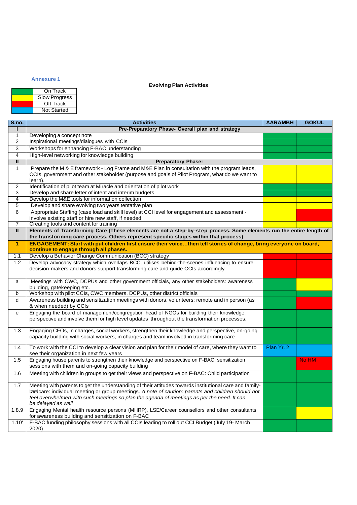## **Annexure 1**

# **Evolving Plan Activities**

| On Track             |  |
|----------------------|--|
| <b>Slow Progress</b> |  |
| Off Track            |  |
| <b>Not Started</b>   |  |

| <b>S.no.</b>   | <b>Activities</b>                                                                                                                        | <b>AARAMBH</b> | <b>GOKUL</b> |
|----------------|------------------------------------------------------------------------------------------------------------------------------------------|----------------|--------------|
|                | Pre-Preparatory Phase- Overall plan and strategy                                                                                         |                |              |
| 1              | Developing a concept note                                                                                                                |                |              |
| $\overline{2}$ | Inspirational meetings/dialogues with CCIs                                                                                               |                |              |
| 3              | Workshops for enhancing F-BAC understanding                                                                                              |                |              |
| 4              | High-level networking for knowledge building                                                                                             |                |              |
| $\blacksquare$ | <b>Preparatory Phase:</b>                                                                                                                |                |              |
| $\mathbf{1}$   | Prepare the M & E framework - Log Frame and M&E Plan in consultation with the program leads,                                             |                |              |
|                | CCIs, government and other stakeholder (purpose and goals of Pilot Program, what do we want to                                           |                |              |
|                | learn).                                                                                                                                  |                |              |
| 2              | Identification of pilot team at Miracle and orientation of pilot work                                                                    |                |              |
| 3              | Develop and share letter of intent and interim budgets                                                                                   |                |              |
| $\overline{4}$ | Develop the M&E tools for information collection                                                                                         |                |              |
| 5              | Develop and share evolving two years tentative plan                                                                                      |                |              |
| 6              | Appropriate Staffing (case load and skill level) at CCI level for engagement and assessment -                                            |                |              |
| $\overline{7}$ | involve existing staff or hire new staff, if needed<br>Creating tools and content for training                                           |                |              |
| Ш              | Elements of Transforming Care (These elements are not a step-by-step process. Some elements run the entire length of                     |                |              |
|                | the transforming care process. Others represent specific stages within that process)                                                     |                |              |
| $\mathbf{1}$   | ENGAGEMENT: Start with put children first ensure their voicethen tell stories of change, bring everyone on board,                        |                |              |
|                | continue to engage through all phases.                                                                                                   |                |              |
| 1.1            | Develop a Behavior Change Communication (BCC) strategy                                                                                   |                |              |
| 1.2            | Develop advocacy strategy which overlaps BCC, utilises behind-the-scenes influencing to ensure                                           |                |              |
|                | decision-makers and donors support transforming care and guide CCIs accordingly                                                          |                |              |
|                |                                                                                                                                          |                |              |
| a              | Meetings with CWC, DCPUs and other government officials, any other stakeholders: awareness                                               |                |              |
|                | building, gatekeeping etc.                                                                                                               |                |              |
| b              | Workshop with pilot CCIs, CWC members, DCPUs, other district officials                                                                   |                |              |
| d              | Awareness building and sensitization meetings with donors, volunteers: remote and in person (as<br>& when needed) by CCIs                |                |              |
|                | Engaging the board of management/congregation head of NGOs for building their knowledge,                                                 |                |              |
| е              | perspective and involve them for high level updates throughout the transformation processes.                                             |                |              |
|                |                                                                                                                                          |                |              |
| 1.3            | Engaging CFOs, in charges, social workers, strengthen their knowledge and perspective, on-going                                          |                |              |
|                | capacity building with social workers, in charges and team involved in transforming care                                                 |                |              |
|                |                                                                                                                                          |                |              |
| 1.4            | To work with the CCI to develop a clear vision and plan for their model of care, where they want to                                      | Plan Yr. 2     |              |
| 1.5            | see their organization in next few years<br>Engaging house parents to strengthen their knowledge and perspective on F-BAC, sensitization |                | No HM        |
|                | sessions with them and on-going capacity building                                                                                        |                |              |
| 1.6            | Meeting with children in groups to get their views and perspective on F-BAC: Child participation                                         |                |              |
|                |                                                                                                                                          |                |              |
| 1.7            | Meeting with parents to get the understanding of their attitudes towards institutional care and family-                                  |                |              |
|                | bardcare: individual meeting or group meetings. A note of caution: parents and children should not                                       |                |              |
|                | feel overwhelmed with such meetings so plan the agenda of meetings as per the need. It can                                               |                |              |
|                | be delayed as well                                                                                                                       |                |              |
| 1.8.9          | Engaging Mental health resource persons (MHRP), LSE/Career counsellors and other consultants                                             |                |              |
|                | for awareness building and sensitization on F-BAC                                                                                        |                |              |
| 1.10'          | F-BAC funding philosophy sessions with all CCIs leading to roll out CCI Budget (July 19- March                                           |                |              |
|                | 2020)                                                                                                                                    |                |              |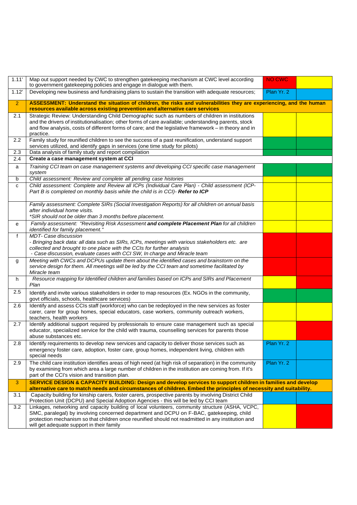| 1.11'          | Map out support needed by CWC to strengthen gatekeeping mechanism at CWC level according<br>to government gatekeeping policies and engage in dialogue with them.                                                                                                                                                                              | <b>NO CWC</b> |  |
|----------------|-----------------------------------------------------------------------------------------------------------------------------------------------------------------------------------------------------------------------------------------------------------------------------------------------------------------------------------------------|---------------|--|
| 1.12'          | Developing new business and fundraising plans to sustain the transition with adequate resources;                                                                                                                                                                                                                                              | Plan Yr. 2    |  |
| $\overline{2}$ | ASSESSMENT: Understand the situation of children, the risks and vulnerabilities they are experiencing, and the human<br>resources available across existing prevention and alternative care services                                                                                                                                          |               |  |
| 2.1            | Strategic Review: Understanding Child Demographic such as numbers of children in institutions<br>and the drivers of institutionalisation; other forms of care available; understanding parents, stock<br>and flow analysis, costs of different forms of care; and the legislative framework - in theory and in<br>practice.                   |               |  |
| 2.2            | Family study for reunified children to see the success of a past reunification, understand support<br>services utilized, and identify gaps in services (one time study for pilots)                                                                                                                                                            |               |  |
| 2.3            | Data analysis of family study and report compilation                                                                                                                                                                                                                                                                                          |               |  |
| 2.4            | Create a case management system at CCI                                                                                                                                                                                                                                                                                                        |               |  |
| a              | Training CCI team on case management systems and developing CCI specific case management<br>system                                                                                                                                                                                                                                            |               |  |
| b              | Child assessment: Review and complete all pending case histories                                                                                                                                                                                                                                                                              |               |  |
| c              | Child assessment: Complete and Review all ICPs (Individual Care Plan) - Child assessment (ICP-<br>Part B is completed on monthly basis while the child is in CCI)- Refer to ICP                                                                                                                                                               |               |  |
|                | Family assessment: Complete SIRs (Social Investigation Reports) for all children on annual basis<br>after individual home visits.<br>*SIR should not be older than 3 months before placement.                                                                                                                                                 |               |  |
| е              | Family assessment: "Revisiting Risk Assessment and complete Placement Plan for all children<br><i>identified for family placement."</i>                                                                                                                                                                                                       |               |  |
| $\mathbf{f}$   | MDT- Case discussion<br>- Bringing back data: all data such as SIRs, ICPs, meetings with various stakeholders etc. are<br>collected and brought to one place with the CCIs for further analysis<br>- Case discussion, evaluate cases with CCI SW, In charge and Miracle team                                                                  |               |  |
| g              | Meeting with CWCs and DCPUs update them about the identified cases and brainstorm on the<br>service design for them. All meetings will be led by the CCI team and sometime facilitated by<br>Miracle team                                                                                                                                     |               |  |
| h              | Resource mapping for Identified children and families based on ICPs and SIRs and Placement<br>Plan                                                                                                                                                                                                                                            |               |  |
| 2.5            | Identify and invite various stakeholders in order to map resources (Ex. NGOs in the community,<br>govt officials, schools, healthcare services)                                                                                                                                                                                               |               |  |
| 2.6            | Identify and assess CCIs staff (workforce) who can be redeployed in the new services as foster<br>carer, carer for group homes, special educators, case workers, community outreach workers,<br>teachers, health workers                                                                                                                      |               |  |
| 2.7            | Identify additional support required by professionals to ensure case management such as special<br>educator, specialized service for the child with trauma, counselling services for parents those<br>abuse substances etc.                                                                                                                   |               |  |
| 2.8            | Identify requirements to develop new services and capacity to deliver those services such as<br>emergency foster care, adoption, foster care, group homes, independent living, children with<br>special needs                                                                                                                                 | Plan Yr. 2    |  |
| 2.9            | The child care institution identifies areas of high need (at high risk of separation) in the community<br>by examining from which area a large number of children in the institution are coming from. If it's<br>part of the CCI's vision and transition plan.                                                                                | Plan Yr. 2    |  |
| 3              | SERVICE DESIGN & CAPACITY BUILDING: Design and develop services to support children in families and develop                                                                                                                                                                                                                                   |               |  |
| 3.1            | alternative care to match needs and circumstances of children. Embed the principles of necessity and suitability.<br>Capacity building for kinship carers, foster carers, prospective parents by involving District Child                                                                                                                     |               |  |
|                | Protection Unit (DCPU) and Special Adoption Agencies - this will be led by CCI team                                                                                                                                                                                                                                                           |               |  |
| 3.2            | Linkages, networking and capacity building of local volunteers, community structure (ASHA, VCPC,<br>SMC, paralegal) by involving concerned department and DCPU on F-BAC, gatekeeping, child<br>protection mechanism so that children once reunified should not readmitted in any institution and<br>will get adequate support in their family |               |  |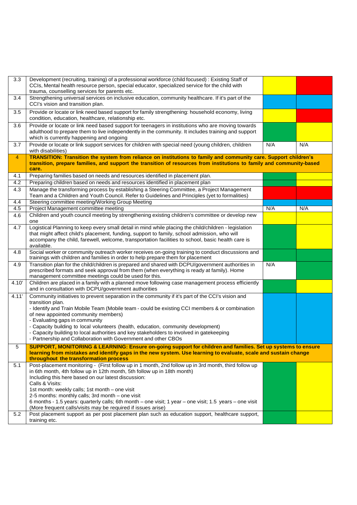| 3.3   | Development (recruiting, training) of a professional workforce (child focused) : Existing Staff of<br>CCIs, Mental health resource person, special educator, specialized service for the child with |     |     |
|-------|-----------------------------------------------------------------------------------------------------------------------------------------------------------------------------------------------------|-----|-----|
|       | trauma, counselling services for parents etc.                                                                                                                                                       |     |     |
| 3.4   | Strengthening universal services on inclusive education, community healthcare. If it's part of the<br>CCI's vision and transition plan.                                                             |     |     |
| 3.5   | Provide or locate or link need based support for family strengthening: household economy, living<br>condition, education, healthcare, relationship etc.                                             |     |     |
| 3.6   | Provide or locate or link need based support for teenagers in institutions who are moving towards                                                                                                   |     |     |
|       | adulthood to prepare them to live independently in the community. It includes training and support<br>which is currently happening and ongoing                                                      |     |     |
| 3.7   | Provide or locate or link support services for children with special need (young children, children<br>with disabilities)                                                                           | N/A | N/A |
| 4     | TRANSITION: Transition the system from reliance on institutions to family and community care. Support children's                                                                                    |     |     |
|       | transition, prepare families, and support the transition of resources from institutions to family and community-based<br>care.                                                                      |     |     |
| 4.1   | Preparing families based on needs and resources identified in placement plan.                                                                                                                       |     |     |
| 4.2   | Preparing children based on needs and resources identified in placement plan                                                                                                                        |     |     |
| 4.3   | Manage the transforming process by establishing a Steering Committee, a Project Management<br>Team and a Children and Youth Council. Refer to Guidelines and Principles (yet to formalities)        |     |     |
| 4.4   | Steering committee meeting/Working Group Meeting                                                                                                                                                    |     |     |
| 4.5   | Project Management committee meeting                                                                                                                                                                | N/A | N/A |
| 4.6   | Children and youth council meeting by strengthening existing children's committee or develop new<br>one                                                                                             |     |     |
| 4.7   | Logistical Planning to keep every small detail in mind while placing the child/children - legislation                                                                                               |     |     |
|       | that might affect child's placement, funding, support to family, school admission, who will<br>accompany the child, farewell, welcome, transportation facilities to school, basic health care is    |     |     |
|       | available.                                                                                                                                                                                          |     |     |
| 4.8   | Social worker or community outreach worker receives on-going training to conduct discussions and<br>trainings with children and families in order to help prepare them for placement                |     |     |
| 4.9   | Transition plan for the child/children is prepared and shared with DCPU/government authorities in                                                                                                   | N/A |     |
|       | prescribed formats and seek approval from them (when everything is ready at family). Home<br>management committee meetings could be used for this.                                                  |     |     |
| 4.10' | Children are placed in a family with a planned move following case management process efficiently<br>and in consultation with DCPU/government authorities                                           |     |     |
| 4.11' | Community initiatives to prevent separation in the community if it's part of the CCI's vision and<br>transition plan.                                                                               |     |     |
|       | - Identify and Train Mobile Team (Mobile team - could be existing CCI members & or combination                                                                                                      |     |     |
|       | of new appointed community members)<br>- Evaluating gaps in community                                                                                                                               |     |     |
|       | - Capacity building to local volunteers (health, education, community development)                                                                                                                  |     |     |
|       | - Capacity building to local authorities and key stakeholders to involved in gatekeeping                                                                                                            |     |     |
|       | - Partnership and Collaboration with Government and other CBOs                                                                                                                                      |     |     |
| 5     | SUPPORT, MONITORING & LEARNING: Ensure on-going support for children and families. Set up systems to ensure                                                                                         |     |     |
|       | learning from mistakes and identify gaps in the new system. Use learning to evaluate, scale and sustain change<br>throughout the transformation process                                             |     |     |
| 5.1   | Post-placement monitoring - (First follow up in 1 month, 2nd follow up in 3rd month, third follow up                                                                                                |     |     |
|       | in 6th month, 4th follow up in 12th month, 5th follow up in 18th month)                                                                                                                             |     |     |
|       | Including this here based on our latest discussion:<br>Calls & Visits:                                                                                                                              |     |     |
|       | 1st month: weekly calls; 1st month - one visit                                                                                                                                                      |     |     |
|       | 2-5 months: monthly calls; 3rd month - one visit                                                                                                                                                    |     |     |
|       | 6 months - 1.5 years: quarterly calls; 6th month – one visit; 1 year – one visit; 1.5 years – one visit                                                                                             |     |     |
|       | (More frequent calls/visits may be required if issues arise)                                                                                                                                        |     |     |
| 5.2   | Post placement support as per post placement plan such as education support, healthcare support,<br>training etc.                                                                                   |     |     |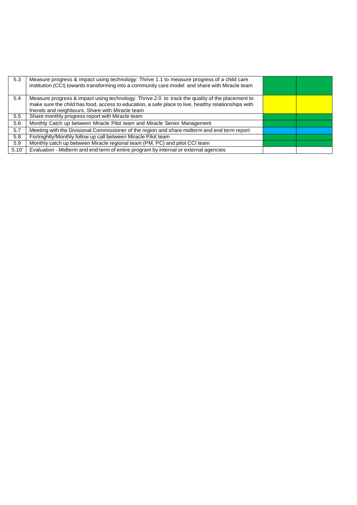| 5.3   | Measure progress & impact using technology: Thrive 1.1 to measure progress of a child care<br>institution (CCI) towards transforming into a community care model and share with Miracle team                                                              |  |
|-------|-----------------------------------------------------------------------------------------------------------------------------------------------------------------------------------------------------------------------------------------------------------|--|
| 5.4   | Measure progress & impact using technology: Thrive 2.0 to track the quality of the placement to<br>make sure the child has food, access to education, a safe place to live, healthy relationships with<br>friends and neighbours. Share with Miracle team |  |
| 5.5   | Share monthly progress report with Miracle team                                                                                                                                                                                                           |  |
| 5.6   | Monthly Catch up between Miracle Pilot team and Miracle Senior Management                                                                                                                                                                                 |  |
| 5.7   | Meeting with the Divisional Commissioner of the region and share midterm and end term report                                                                                                                                                              |  |
| 5.8   | Fortnightly/Monthly follow up call between Miracle Pilot team                                                                                                                                                                                             |  |
| 5.9   | Monthly catch up between Miracle regional team (PM, PC) and pilot CCI team                                                                                                                                                                                |  |
| 5.10' | Evaluation - Midterm and end term of entire program by internal or external agencies                                                                                                                                                                      |  |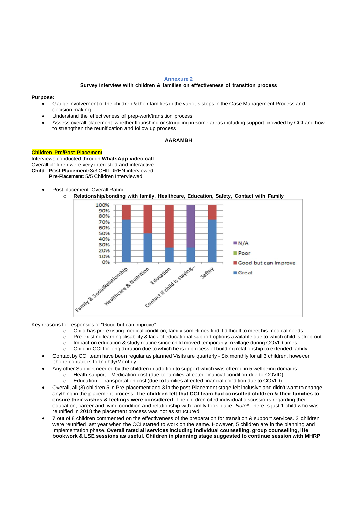#### **Annexure 2**

#### **Survey interview with children & families on effectiveness of transition process**

#### **Purpose:**

- Gauge involvement of the children & their families in the various steps in the Case Management Process and decision making
- Understand the effectiveness of prep-work/transition process
- Assess overall placement: whether flourishing or struggling in some areas including support provided by CCI and how to strengthen the reunification and follow up process

#### **AARAMBH**

#### **Children Pre/Post Placement**

Interviews conducted through **WhatsApp video call** Overall children were very interested and interactive **Child - Post Placement:**3/3 CHILDREN interviewed **Pre-Placement:** 5/5 Children Interviewed

- Post placement: Overall Rating:
	- o **Relationship/bonding with family, Healthcare, Education, Safety, Contact with Family**



Key reasons for responses of "Good but can improve":

- o Child has pre-existing medical condition; family sometimes find it difficult to meet his medical needs
- o Pre-existing learning disability & lack of educational support options available due to which child is drop-out
- o Impact on education & study routine since child moved temporarily in village during COVID times
- o Child in CCI for long duration due to which he is in process of building relationship to extended family
- Contact by CCI team have been regular as planned Visits are quarterly Six monthly for all 3 children, however phone contact is fortnightly/Monthly
- Any other Support needed by the children in addition to support which was offered in 5 wellbeing domains: o Heath support - Medication cost (due to families affected financial condition due to COVID)
	- o Education Transportation cost (due to families affected financial condition due to COVID)
- Overall, all (8) children 5 in Pre-placement and 3 in the post-Placement stage felt inclusive and didn't want to change anything in the placement process. The **children felt that CCI team had consulted children & their families to ensure their wishes & feelings were considered**. The children cited individual discussions regarding their education, career and living condition and relationship with family took place. *Note\** There is just 1 child who was reunified in 2018 the placement process was not as structured
- 7 out of 8 children commented on the effectiveness of the preparation for transition & support services. 2 children were reunified last year when the CCI started to work on the same. However, 5 children are in the planning and implementation phase. **Overall rated all services including individual counselling, group counselling, life bookwork & LSE sessions as useful. Children in planning stage suggested to continue session with MHRP**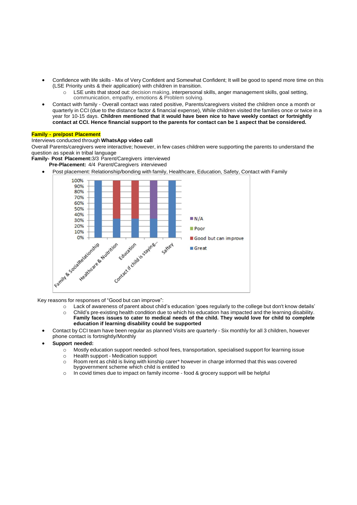- Confidence with life skills Mix of Very Confident and Somewhat Confident; It will be good to spend more time on this (LSE Priority units & their application) with children in transition.
	- LSE units that stood out: decision making, interpersonal skills, anger management skills, goal setting, communication, empathy, emotions & Problem solving.
- Contact with family Overall contact was rated positive, Parents/caregivers visited the children once a month or quarterly in CCI (due to the distance factor & financial expense), While children visited the families once or twice in a year for 10-15 days. **Children mentioned that it would have been nice to have weekly contact or fortnightly** contact at CCI. Hence financial support to the parents for contact can be 1 aspect that be considered.

## **Family - pre/post Placement**

# Interviews conducted through **WhatsApp video call**

Overall Parents/caregivers were interactive; however, in few cases children were supporting the parents to understand the question as speak in tribal language

**Family- Post Placement:**3/3 Parent/Caregivers interviewed

- **Pre-Placement:** 4/4 Parent/Caregivers interviewed
- Post placement: Relationship/bonding with family, Healthcare, Education, Safety, Contact with Family



Key reasons for responses of "Good but can improve":

- o Lack of awareness of parent about child's education 'goes regularly to the college but don't know details'
- o Child's pre-existing health condition due to which his education has impacted and the learning disability. **Family faces issues to cater to medical needs of the child. They would love for child to complete education if learning disability could be supported**
- Contact by CCI team have been regular as planned Visits are quarterly Six monthly for all 3 children, however phone contact is fortnightly/Monthly
- **Support needed:**
	- o Mostly education support needed- school fees, transportation, specialised support for learning issue
	- o Health support Medication support
		- o Room rent as child is living with kinship carer\* however in charge informed that this was covered bygovernment scheme which child is entitled to
		- o In covid times due to impact on family income food & grocery support will be helpful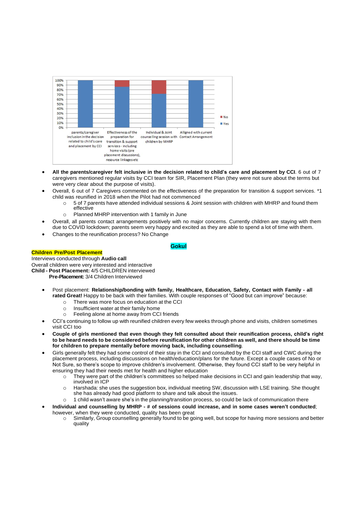| 100%<br>90%<br>80% |                                                                                                   |                                                                                                             |                                                                     |                                                     |             |
|--------------------|---------------------------------------------------------------------------------------------------|-------------------------------------------------------------------------------------------------------------|---------------------------------------------------------------------|-----------------------------------------------------|-------------|
| 70%                |                                                                                                   |                                                                                                             |                                                                     |                                                     |             |
|                    |                                                                                                   |                                                                                                             |                                                                     |                                                     |             |
| 60%                |                                                                                                   |                                                                                                             |                                                                     |                                                     |             |
| 50%                |                                                                                                   |                                                                                                             |                                                                     |                                                     |             |
| 40%                |                                                                                                   |                                                                                                             |                                                                     |                                                     |             |
| 30%                |                                                                                                   |                                                                                                             |                                                                     |                                                     |             |
| 20%                |                                                                                                   |                                                                                                             |                                                                     |                                                     | <b>No</b>   |
| 10%                |                                                                                                   |                                                                                                             |                                                                     |                                                     | <b>WYes</b> |
| 0%                 |                                                                                                   |                                                                                                             |                                                                     |                                                     |             |
|                    | parents/caregiver<br>Inclusion in the decision<br>related to child's care<br>and placement by CCI | Effectiveness of the<br>preparation for<br>transition & support<br>services - including<br>home visits (pre | Individual & Joint<br>counse lling session with<br>children by MHRP | Alligned with current<br><b>Contact Arrangement</b> |             |
|                    |                                                                                                   | placement discussions),<br>resource linkages etc                                                            |                                                                     |                                                     |             |

- All the parents/caregiver felt inclusive in the decision related to child's care and placement by CCI. 6 out of 7 caregivers mentioned regular visits by CCI team for SIR, Placement Plan (they were not sure about the terms but were very clear about the purpose of visits).
- Overall, 6 out of 7 Caregivers commented on the effectiveness of the preparation for transition & support services. \*1 child was reunified in 2018 when the Pilot had not commenced
	- $\circ$  5 of 7 parents have attended individual sessions & Joint session with children with MHRP and found them effective
	- o Planned MHRP intervention with 1 family in June
- Overall, all parents contact arrangements positively with no major concerns. Currently children are staying with them due to COVID lockdown; parents seem very happy and excited as they are able to spend a lot of time with them.
- Changes to the reunification process? No Change

# **Gokul**

## **Children Pre/Post Placement**

Interviews conducted through **Audio call** Overall children were very interested and interactive **Child - Post Placement:** 4/5 CHILDREN interviewed **Pre-Placement:** 3/4 Children Interviewed

- Post placement: **Relationship/bonding with family, Healthcare, Education, Safety, Contact with Family - all rated Great!** Happy to be back with their families. With couple responses of "Good but can improve" because:
	- o There was more focus on education at the CCI
	- o Insufficient water at their family home
	- o Feeling alone at home away from CCI friends
- CCI's continuing to follow up with reunified children every few weeks through phone and visits, children sometimes visit CCI too
- Couple of girls mentioned that even though they felt consulted about their reunification process, child's right to be heard needs to be considered before reunification for other children as well, and there should be time **for children to prepare mentally before moving back, including counselling**.
- Girls generally felt they had some control of their stay in the CCI and consulted by the CCI staff and CWC during the placement process, including discussions on health/education/plans for the future. Except a couple cases of No or Not Sure, so there's scope to improve children's involvement. Otherwise, they found CCI staff to be very helpful in ensuring they had their needs met for health and higher education
	- $\circ$  They were part of the children's committees so helped make decisions in CCI and gain leadership that way, involved in ICP
	- o Harshada: she uses the suggestion box, individual meeting SW, discussion with LSE training. She thought she has already had good platform to share and talk about the issues.
	- o 1 child wasn't aware she's in the planning/transition process, so could be lack of communication there
- **Individual and counselling by MHRP - # of sessions could increase, and in some cases weren't conducted**; however, when they were conducted, quality has been great
	- o Similarly, Group counselling generally found to be going well, but scope for having more sessions and better quality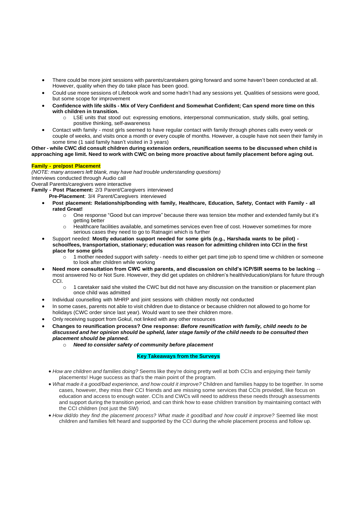- There could be more joint sessions with parents/caretakers going forward and some haven't been conducted at all. However, quality when they do take place has been good.
- Could use more sessions of Lifebook work and some hadn't had any sessions yet. Qualities of sessions were good, but some scope for improvement
- Confidence with life skills Mix of Very Confident and Somewhat Confident; Can spend more time on this **with children in transition.**
	- LSE units that stood out: expressing emotions, interpersonal communication, study skills, goal setting, positive thinking, self-awareness
- Contact with family most girls seemed to have regular contact with family through phones calls every week or couple of weeks, and visits once a month or every couple of months. However, a couple have not seen their family in some time (1 said family hasn't visited in 3 years)

Other - while CWC did consult children during extension orders, reunification seems to be discussed when child is approaching age limit. Need to work with CWC on being more proactive about family placement before aging out.

## **Family - pre/post Placement**

*(NOTE: many answers left blank, may have had trouble understanding questions)* Interviews conducted through Audio call Overall Parents/caregivers were interactive **Family - Post Placement:** 2/3 Parent/Caregivers interviewed

**Pre-Placement**: 3/4 Parent/Caregivers interviewed

- **Post placement: Relationship/bonding with family, Healthcare, Education, Safety, Contact with Family - all rated Great!**
	- o One response "Good but can improve" because there was tension btw mother and extended family but it's getting better
	- o Healthcare facilities available, and sometimes services even free of cost. However sometimes for more serious cases they need to go to Ratnagiri which is further
- Support needed: **Mostly education support needed for some girls (e.g., Harshada wants to be pilot) schoolfees, transportation, stationary; education was reason for admitting children into CCI in the first place for some girls**
	- o 1 mother needed support with safety needs to either get part time job to spend time w children or someone to look after children while working
- **Need more consultation from CWC with parents, and discussion on child's ICP/SIR seems to be lacking**  most answered No or Not Sure. However, they did get updates on children's health/education/plans for future through CCI.
	- o 1 caretaker said she visited the CWC but did not have any discussion on the transition or placement plan once child was admitted
- Individual counselling with MHRP and joint sessions with children mostly not conducted
- In some cases, parents not able to visit children due to distance or because children not allowed to go home for holidays (CWC order since last year). Would want to see their children more.
- Only receiving support from Gokul, not linked with any other resources
- **Changes to reunification process? One response:** *Before reunification with family, child needs to be* discussed and her opinion should be upheld, later stage family of the child needs to be consulted then *placement should be planned.*
	- o *Need to consider safety of community before placement*

## **Key Takeaways from the Surveys**

- *How are children and families doing?* Seems like they're doing pretty well at both CCIs and enjoying their family placements! Huge success as that's the main point of the program.
- *What made it a good/bad experience, and how could it improve?* Children and families happy to be together. In some cases, however, they miss their CCI friends and are missing some services that CCIs provided, like focus on education and access to enough water. CCIs and CWCs will need to address these needs through assessments and support during the transition period, and can think how to ease children transition by maintaining contact with the CCI children (not just the SW)
- *How did/do they find the placement process? What made it good/bad and how could it improve?* Seemed like most children and families felt heard and supported by the CCI during the whole placement process and follow up.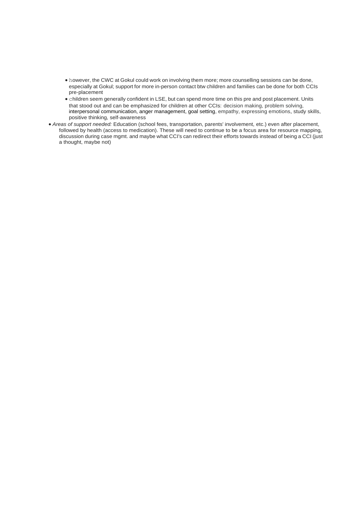- however, the CWC at Gokul could work on involving them more; more counselling sessions can be done, especially at Gokul; support for more in-person contact btw children and families can be done for both CCIs pre-placement
- children seem generally confident in LSE, but can spend more time on this pre and post placement. Units that stood out and can be emphasized for children at other CCIs: decision making, problem solving, interpersonal communication, anger management, goal setting, empathy, expressing emotions, study skills, positive thinking, self-awareness
- *Areas of support needed:* Education (school fees, transportation, parents' involvement, etc.) even after placement, followed by health (access to medication). These will need to continue to be a focus area for resource mapping, discussion during case mgmt. and maybe what CCI's can redirect their efforts towards instead of being a CCI (just a thought, maybe not)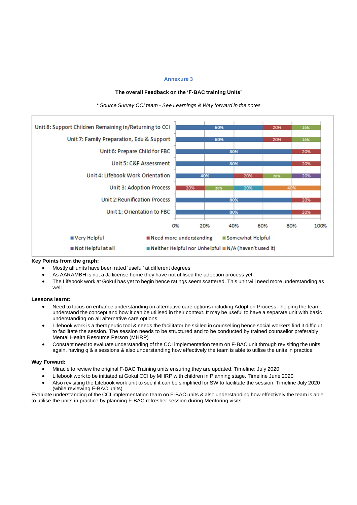## **Annexure 3**

## **The overall Feedback on the 'F-BAC training Units'**



*\* Source Survey CCI team - See Learnings & Way forward in the notes*

## **Key Points from the graph:**

- Mostly all units have been rated 'useful' at different degrees
- As AARAMBH is not a JJ license home they have not utilised the adoption process yet
- The Lifebook work at Gokul has yet to begin hence ratings seem scattered. This unit will need more understanding as well

#### **Lessons learnt:**

- Need to focus on enhance understanding on alternative care options including Adoption Process helping the team understand the concept and how it can be utilised in their context. It may be useful to have a separate unit with basic understanding on all alternative care options
- Lifebook work is a therapeutic tool & needs the facilitator be skilled in counselling hence social workers find it difficult to facilitate the session. The session needs to be structured and to be conducted by trained counsellor preferably Mental Health Resource Person (MHRP)
- Constant need to evaluate understanding of the CCI implementation team on F-BAC unit through revisiting the units again, having q & a sessions & also understanding how effectively the team is able to utilise the units in practice

#### **Way Forward:**

- Miracle to review the original F-BAC Training units ensuring they are updated. Timeline: July 2020
- Lifebook work to be initiated at Gokul CCI by MHRP with children in Planning stage. Timeline June 2020
- Also revisiting the Lifebook work unit to see if it can be simplified for SW to facilitate the session. Timeline July 2020 (while reviewing F-BAC units)

Evaluate understanding of the CCI implementation team on F-BAC units & also understanding how effectively the team is able to utilise the units in practice by planning F-BAC refresher session during Mentoring visits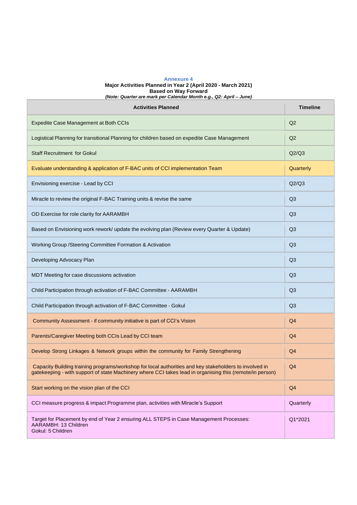#### **Annexure 4 Major Activities Planned in Year 2 (April 2020 - March 2021) Based on Way Forward** *(Note: Quarter are mark per Calendar Month e.g., Q2: April – June)*

| <b>Activities Planned</b>                                                                                                                                                                                          | <b>Timeline</b> |
|--------------------------------------------------------------------------------------------------------------------------------------------------------------------------------------------------------------------|-----------------|
| Expedite Case Management at Both CCIs                                                                                                                                                                              | Q2              |
| Logistical Planning for transitional Planning for children based on expedite Case Management                                                                                                                       | Q2              |
| <b>Staff Recruitment for Gokul</b>                                                                                                                                                                                 | Q2/Q3           |
| Evaluate understanding & application of F-BAC units of CCI implementation Team                                                                                                                                     | Quarterly       |
| Envisioning exercise - Lead by CCI                                                                                                                                                                                 | Q2/Q3           |
| Miracle to review the original F-BAC Training units & revise the same                                                                                                                                              | Q3              |
| OD Exercise for role clarity for AARAMBH                                                                                                                                                                           | Q3              |
| Based on Envisioning work rework/ update the evolving plan (Review every Quarter & Update)                                                                                                                         | Q <sub>3</sub>  |
| Working Group / Steering Committee Formation & Activation                                                                                                                                                          | Q <sub>3</sub>  |
| Developing Advocacy Plan                                                                                                                                                                                           | Q <sub>3</sub>  |
| MDT Meeting for case discussions activation                                                                                                                                                                        | Q <sub>3</sub>  |
| Child Participation through activation of F-BAC Committee - AARAMBH                                                                                                                                                | Q <sub>3</sub>  |
| Child Participation through activation of F-BAC Committee - Gokul                                                                                                                                                  | Q <sub>3</sub>  |
| Community Assessment - if community initiative is part of CCI's Vision                                                                                                                                             | Q4              |
| Parents/Caregiver Meeting both CCIs Lead by CCI team                                                                                                                                                               | Q4              |
| Develop Strong Linkages & Network groups within the community for Family Strengthening                                                                                                                             | Q4              |
| Capacity Building training programs/workshop for local authorities and key stakeholders to involved in<br>gatekeeping - with support of state Machinery where CCI takes lead in organising this (remote/in person) | Q4              |
| Start working on the vision plan of the CCI                                                                                                                                                                        | Q <sub>4</sub>  |
| CCI measure progress & impact Programme plan, activities with Miracle's Support                                                                                                                                    | Quarterly       |
| Target for Placement by end of Year 2 ensuring ALL STEPS in Case Management Processes:<br>AARAMBH: 13 Children<br>Gokul: 5 Children                                                                                | Q1*2021         |